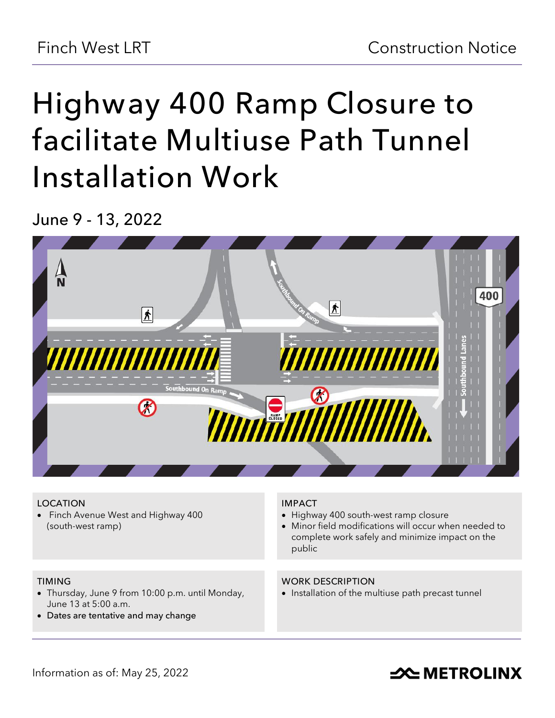# **Highway 400 Ramp Closure to facilitate Multiuse Path Tunnel Installation Work**

**June 9 - 13, 2022**



#### **LOCATION**

• Finch Avenue West and Highway 400 (south-west ramp)

### **IMPACT**

- Highway 400 south-west ramp closure
- Minor field modifications will occur when needed to complete work safely and minimize impact on the public

#### **TIMING**

- Thursday, June 9 from 10:00 p.m. until Monday, June 13 at 5:00 a.m.
- **Dates are tentative and may change**

#### **WORK DESCRIPTION**

• Installation of the multiuse path precast tunnel

## **SOUTHER THE METROLINX**